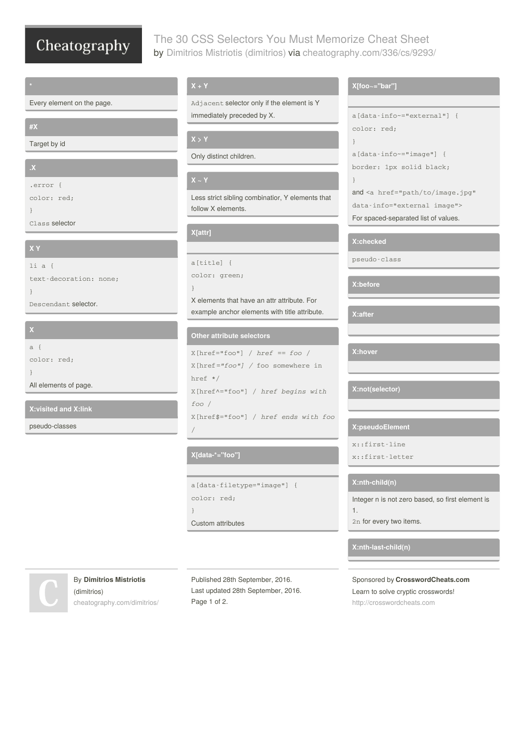# Cheatography

# The 30 CSS Selectors You Must Memorize Cheat Sheet by Dimitrios Mistriotis [\(dimitrios\)](http://www.cheatography.com/dimitrios/) via [cheatography.com/336/cs/9293/](http://www.cheatography.com/dimitrios/cheat-sheets/the-30-css-selectors-you-must-memorize)

Every element on the page.

### **#X**

Target by id

# **.X**

.error {

color: red;

}

Class selector

## **X Y**

li a { text-decoration: none; } Descendant selector.

# **X**

a { color: red; } All elements of page.

**X:visited and X:link**

pseudo-classes

Adjacent selector only if the element is Y immediately preceded by X.

Only distinct children.

#### **X ~ Y**

Less strict sibling combinatior, Y elements that follow X elements.

## **X[attr]**

```
a[title] {
```

```
color: green;
```
}

X elements that have an attr attribute. For example anchor elements with title attribute.

#### **Other attribute selectors**

```
X[href="foo"] / href == foo /
X[href="foo"] / foo somewhere in
href */
X[href^="foo"] / href begins with
foo /
X[href$="foo"] / href ends with foo
/
```
## **X[data-\*="foo"]**

```
a[data-filetype="image"] {
```

```
color: red;
```
Page 1 of 2.

}

```
Custom attributes
```
# By **Dimitrios Mistriotis** (dimitrios)

[cheatography.com/dimitrios/](http://www.cheatography.com/dimitrios/)

### **X[foo~="bar"]**

```
a[data-info~="external"] {
color: red;
}
a[data-info~="image"] {
border: 1px solid black;
}
and <a href="path/to/image.jpg"
data-info="external image">
For spaced-separated list of values.
```
#### **X:checked**

pseudo-class

**X:before**

**X:after**

**X:hover**

## **X:not(selector)**

#### **X:pseudoElement**

x::first-line

```
x::first-letter
```
#### **X:nth-child(n)**

Integer n is not zero based, so first element is

```
1.
```
2n for every two items.

#### **X:nth-last-child(n)**

Sponsored by **CrosswordCheats.com** Learn to solve cryptic crosswords! <http://crosswordcheats.com>

# Published 28th September, 2016. Last updated 28th September, 2016.